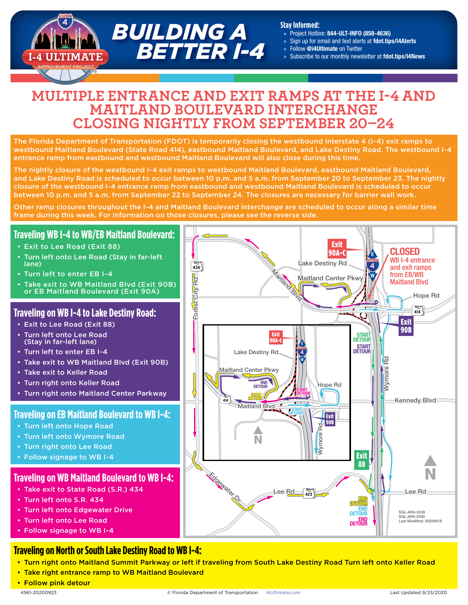# *BUILDING A BETTER I-4*

#### **Stay Informed:**

- » Project Hotline: 844-ULT-INFO (858-4636)
- » Sign up for email and text alerts at [fdot.tips/I4Alerts](https://fdot.tips/I4Alerts)
- » Follow [@i4Ultimate](https://twitter.com/i4ultimate) on Twitter
- » Subscribe to our monthly newsletter at [fdot.tips/I4News](https://fdot.tips/I4News)

## **MULTIPLE ENTRANCE AND EXIT RAMPS AT THE I-4 AND MAITLAND BOULEVARD INTERCHANGE CLOSING NIGHTLY FROM SEPTEMBER 20–24**

The Florida Department of Transportation (FDOT) is temporarily closing the westbound Interstate 4 (I-4) exit ramps to westbound Maitland Boulevard (State Road 414), eastbound Maitland Boulevard, and Lake Destiny Road. The westbound I-4 entrance ramp from eastbound and westbound Maitland Boulevard will also close during this time.

The nightly closure of the westbound I-4 exit ramps to westbound Maitland Boulevard, eastbound Maitland Boulevard, and Lake Destiny Road is scheduled to occur between 10 p.m. and 5 a.m. from September 20 to September 23. The nightly closure of the westbound I-4 entrance ramp from eastbound and westbound Maitland Boulevard is scheduled to occur between 10 p.m. and 5 a.m. from September 22 to September 24. The closures are necessary for barrier wall work.

Other ramp closures throughout the I-4 and Maitland Boulevard interchange are scheduled to occur along a similar time frame during this week. For information on those closures, please see the reverse side.

## **Traveling WB I-4 to WB/EB Maitland Boulevard:**

- Exit to Lee Road (Exit 88)
- Turn left onto Lee Road (Stay in far-left lane)
- Turn left to enter EB I-4
- Take exit to WB Maitland Blvd (Exit 90B) or EB Maitland Boulevard (Exit 90A)

## **Traveling on WB I-4 to Lake Destiny Road:**

- Exit to Lee Road (Exit 88)
- Turn left onto Lee Road (Stay in far-left lane)
- Turn left to enter EB I-4
- Take exit to WB Maitland Blvd (Exit 90B)
- Take exit to Keller Road
- Turn right onto Keller Road
- Turn right onto Maitland Center Parkway

## **Traveling on EB Maitland Boulevard to WB I-4:**

- Turn left onto Hope Road
- Turn left onto Wymore Road
- Turn right onto Lee Road
- Follow signage to WB I-4

## **Traveling on WB Maitland Boulevard to WB I-4:**

- Take exit to State Road (S.R.) 434
- Turn left onto S.R. 434
- Turn left onto Edgewater Drive
- Turn left onto Lee Road
- Follow signage to WB I-4

## **Traveling on North or South Lake Destiny Road to WB I-4:**

- Turn right onto Maitland Summit Parkway or left if traveling from South Lake Destiny Road Turn left onto Keller Road
- Take right entrance ramp to WB Maitland Boulevard
- Follow pink detour